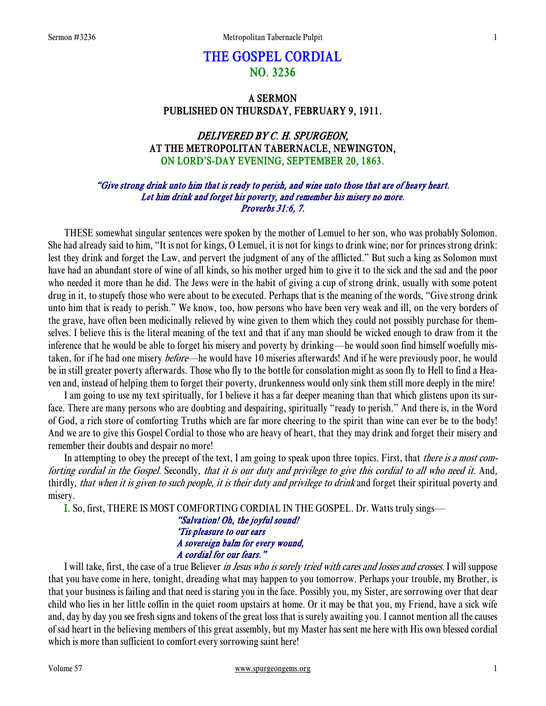# THE GOSPEL CORDIAL NO. 3236

# A SERMON PUBLISHED ON THURSDAY, FEBRUARY 9, 1911.

# DELIVERED BY C. H. SPURGEON, AT THE METROPOLITAN TABERNACLE, NEWINGTON, ON LORD'S-DAY EVENING, SEPTEMBER 20, 1863.

# "Give strong drink unto him that is ready to perish, and wine unto those that are of heavy heart. Let him drink and forget his poverty, and remember his misery no more. Proverbs 31:6, 7.

THESE somewhat singular sentences were spoken by the mother of Lemuel to her son, who was probably Solomon. She had already said to him, "It is not for kings, O Lemuel, it is not for kings to drink wine; nor for princes strong drink: lest they drink and forget the Law, and pervert the judgment of any of the afflicted." But such a king as Solomon must have had an abundant store of wine of all kinds, so his mother urged him to give it to the sick and the sad and the poor who needed it more than he did. The Jews were in the habit of giving a cup of strong drink, usually with some potent drug in it, to stupefy those who were about to be executed. Perhaps that is the meaning of the words, "Give strong drink unto him that is ready to perish." We know, too, how persons who have been very weak and ill, on the very borders of the grave, have often been medicinally relieved by wine given to them which they could not possibly purchase for themselves. I believe this is the literal meaning of the text and that if any man should be wicked enough to draw from it the inference that he would be able to forget his misery and poverty by drinking—he would soon find himself woefully mistaken, for if he had one misery *before*—he would have 10 miseries afterwards! And if he were previously poor, he would be in still greater poverty afterwards. Those who fly to the bottle for consolation might as soon fly to Hell to find a Heaven and, instead of helping them to forget their poverty, drunkenness would only sink them still more deeply in the mire!

 I am going to use my text spiritually, for I believe it has a far deeper meaning than that which glistens upon its surface. There are many persons who are doubting and despairing, spiritually "ready to perish." And there is, in the Word of God, a rich store of comforting Truths which are far more cheering to the spirit than wine can ever be to the body! And we are to give this Gospel Cordial to those who are heavy of heart, that they may drink and forget their misery and remember their doubts and despair no more!

In attempting to obey the precept of the text, I am going to speak upon three topics. First, that *there is a most com*forting cordial in the Gospel. Secondly, that it is our duty and privilege to give this cordial to all who need it. And, thirdly, *that when it is given to such people, it is their duty and privilege to drink* and forget their spiritual poverty and misery.

I. So, first, THERE IS MOST COMFORTING CORDIAL IN THE GOSPEL. Dr. Watts truly sings—

## "Salvation! Oh, the joyful sound! 'Tis pleasure to our ears A sovereign balm for every wound, A cordial for our fears."

I will take, first, the case of a true Believer *in Jesus who is sorely tried with cares and losses and crosses*. I will suppose that you have come in here, tonight, dreading what may happen to you tomorrow. Perhaps your trouble, my Brother, is that your business is failing and that need is staring you in the face. Possibly you, my Sister, are sorrowing over that dear child who lies in her little coffin in the quiet room upstairs at home. Or it may be that you, my Friend, have a sick wife and, day by day you see fresh signs and tokens of the great loss that is surely awaiting you. I cannot mention all the causes of sad heart in the believing members of this great assembly, but my Master has sent me here with His own blessed cordial which is more than sufficient to comfort every sorrowing saint here!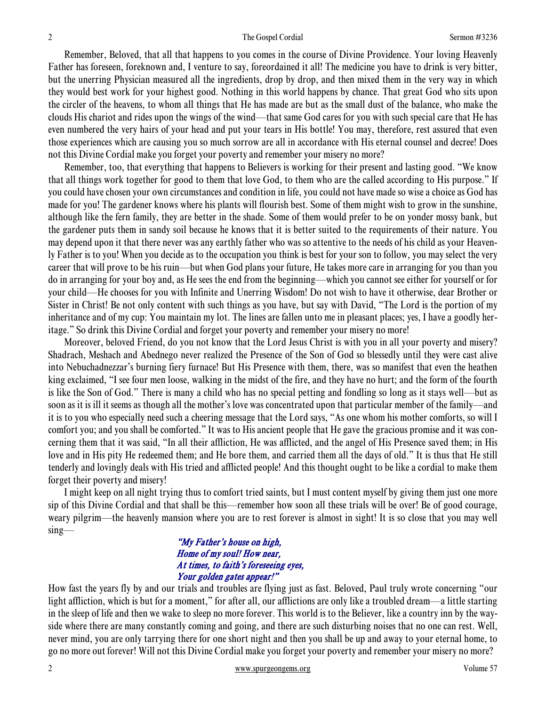Remember, Beloved, that all that happens to you comes in the course of Divine Providence. Your loving Heavenly Father has foreseen, foreknown and, I venture to say, foreordained it all! The medicine you have to drink is very bitter, but the unerring Physician measured all the ingredients, drop by drop, and then mixed them in the very way in which they would best work for your highest good. Nothing in this world happens by chance. That great God who sits upon the circler of the heavens, to whom all things that He has made are but as the small dust of the balance, who make the clouds His chariot and rides upon the wings of the wind—that same God cares for you with such special care that He has even numbered the very hairs of your head and put your tears in His bottle! You may, therefore, rest assured that even those experiences which are causing you so much sorrow are all in accordance with His eternal counsel and decree! Does not this Divine Cordial make you forget your poverty and remember your misery no more?

 Remember, too, that everything that happens to Believers is working for their present and lasting good. "We know that all things work together for good to them that love God, to them who are the called according to His purpose." If you could have chosen your own circumstances and condition in life, you could not have made so wise a choice as God has made for you! The gardener knows where his plants will flourish best. Some of them might wish to grow in the sunshine, although like the fern family, they are better in the shade. Some of them would prefer to be on yonder mossy bank, but the gardener puts them in sandy soil because he knows that it is better suited to the requirements of their nature. You may depend upon it that there never was any earthly father who was so attentive to the needs of his child as your Heavenly Father is to you! When you decide as to the occupation you think is best for your son to follow, you may select the very career that will prove to be his ruin—but when God plans your future, He takes more care in arranging for you than you do in arranging for your boy and, as He sees the end from the beginning—which you cannot see either for yourself or for your child—He chooses for you with Infinite and Unerring Wisdom! Do not wish to have it otherwise, dear Brother or Sister in Christ! Be not only content with such things as you have, but say with David, "The Lord is the portion of my inheritance and of my cup: You maintain my lot. The lines are fallen unto me in pleasant places; yes, I have a goodly heritage." So drink this Divine Cordial and forget your poverty and remember your misery no more!

 Moreover, beloved Friend, do you not know that the Lord Jesus Christ is with you in all your poverty and misery? Shadrach, Meshach and Abednego never realized the Presence of the Son of God so blessedly until they were cast alive into Nebuchadnezzar's burning fiery furnace! But His Presence with them, there, was so manifest that even the heathen king exclaimed, "I see four men loose, walking in the midst of the fire, and they have no hurt; and the form of the fourth is like the Son of God." There is many a child who has no special petting and fondling so long as it stays well—but as soon as it is ill it seems as though all the mother's love was concentrated upon that particular member of the family—and it is to you who especially need such a cheering message that the Lord says, "As one whom his mother comforts, so will I comfort you; and you shall be comforted." It was to His ancient people that He gave the gracious promise and it was concerning them that it was said, "In all their affliction, He was afflicted, and the angel of His Presence saved them; in His love and in His pity He redeemed them; and He bore them, and carried them all the days of old." It is thus that He still tenderly and lovingly deals with His tried and afflicted people! And this thought ought to be like a cordial to make them forget their poverty and misery!

 I might keep on all night trying thus to comfort tried saints, but I must content myself by giving them just one more sip of this Divine Cordial and that shall be this—remember how soon all these trials will be over! Be of good courage, weary pilgrim—the heavenly mansion where you are to rest forever is almost in sight! It is so close that you may well sing—

## "My Father's house on high, Home of my soul! How near, At times, to faith's foreseeing eyes, Your golden gates appear!"

How fast the years fly by and our trials and troubles are flying just as fast. Beloved, Paul truly wrote concerning "our light affliction, which is but for a moment," for after all, our afflictions are only like a troubled dream—a little starting in the sleep of life and then we wake to sleep no more forever. This world is to the Believer, like a country inn by the wayside where there are many constantly coming and going, and there are such disturbing noises that no one can rest. Well, never mind, you are only tarrying there for one short night and then you shall be up and away to your eternal home, to go no more out forever! Will not this Divine Cordial make you forget your poverty and remember your misery no more?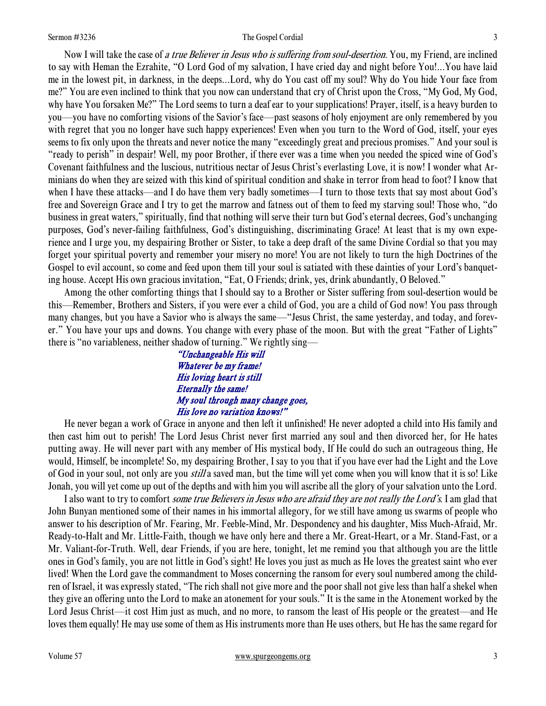#### Sermon #3236 **Sermon #3236** The Gospel Cordial 3

Now I will take the case of a true Believer in Jesus who is suffering from soul-desertion. You, my Friend, are inclined to say with Heman the Ezrahite, "O Lord God of my salvation, I have cried day and night before You!...You have laid me in the lowest pit, in darkness, in the deeps...Lord, why do You cast off my soul? Why do You hide Your face from me?" You are even inclined to think that you now can understand that cry of Christ upon the Cross, "My God, My God, why have You forsaken Me?" The Lord seems to turn a deaf ear to your supplications! Prayer, itself, is a heavy burden to you—you have no comforting visions of the Savior's face—past seasons of holy enjoyment are only remembered by you with regret that you no longer have such happy experiences! Even when you turn to the Word of God, itself, your eyes seems to fix only upon the threats and never notice the many "exceedingly great and precious promises." And your soul is "ready to perish" in despair! Well, my poor Brother, if there ever was a time when you needed the spiced wine of God's Covenant faithfulness and the luscious, nutritious nectar of Jesus Christ's everlasting Love, it is now! I wonder what Arminians do when they are seized with this kind of spiritual condition and shake in terror from head to foot? I know that when I have these attacks—and I do have them very badly sometimes—I turn to those texts that say most about God's free and Sovereign Grace and I try to get the marrow and fatness out of them to feed my starving soul! Those who, "do business in great waters," spiritually, find that nothing will serve their turn but God's eternal decrees, God's unchanging purposes, God's never-failing faithfulness, God's distinguishing, discriminating Grace! At least that is my own experience and I urge you, my despairing Brother or Sister, to take a deep draft of the same Divine Cordial so that you may forget your spiritual poverty and remember your misery no more! You are not likely to turn the high Doctrines of the Gospel to evil account, so come and feed upon them till your soul is satiated with these dainties of your Lord's banqueting house. Accept His own gracious invitation, "Eat, O Friends; drink, yes, drink abundantly, O Beloved."

 Among the other comforting things that I should say to a Brother or Sister suffering from soul-desertion would be this—Remember, Brothers and Sisters, if you were ever a child of God, you are a child of God now! You pass through many changes, but you have a Savior who is always the same—"Jesus Christ, the same yesterday, and today, and forever." You have your ups and downs. You change with every phase of the moon. But with the great "Father of Lights" there is "no variableness, neither shadow of turning." We rightly sing—

> "Unchangeable His will Whatever be my frame! His loving heart is still Eternally the same! My soul through many change goes, His love no variation knows!"

 He never began a work of Grace in anyone and then left it unfinished! He never adopted a child into His family and then cast him out to perish! The Lord Jesus Christ never first married any soul and then divorced her, for He hates putting away. He will never part with any member of His mystical body, If He could do such an outrageous thing, He would, Himself, be incomplete! So, my despairing Brother, I say to you that if you have ever had the Light and the Love of God in your soul, not only are you *still* a saved man, but the time will yet come when you will know that it is so! Like Jonah, you will yet come up out of the depths and with him you will ascribe all the glory of your salvation unto the Lord.

I also want to try to comfort *some true Believers in Jesus who are afraid they are not really the Lord's*. I am glad that John Bunyan mentioned some of their names in his immortal allegory, for we still have among us swarms of people who answer to his description of Mr. Fearing, Mr. Feeble-Mind, Mr. Despondency and his daughter, Miss Much-Afraid, Mr. Ready-to-Halt and Mr. Little-Faith, though we have only here and there a Mr. Great-Heart, or a Mr. Stand-Fast, or a Mr. Valiant-for-Truth. Well, dear Friends, if you are here, tonight, let me remind you that although you are the little ones in God's family, you are not little in God's sight! He loves you just as much as He loves the greatest saint who ever lived! When the Lord gave the commandment to Moses concerning the ransom for every soul numbered among the children of Israel, it was expressly stated, "The rich shall not give more and the poor shall not give less than half a shekel when they give an offering unto the Lord to make an atonement for your souls." It is the same in the Atonement worked by the Lord Jesus Christ—it cost Him just as much, and no more, to ransom the least of His people or the greatest—and He loves them equally! He may use some of them as His instruments more than He uses others, but He has the same regard for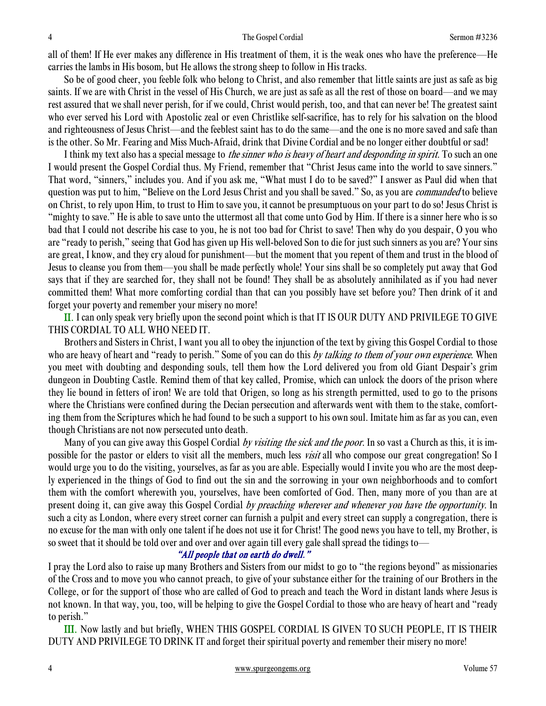all of them! If He ever makes any difference in His treatment of them, it is the weak ones who have the preference—He carries the lambs in His bosom, but He allows the strong sheep to follow in His tracks.

 So be of good cheer, you feeble folk who belong to Christ, and also remember that little saints are just as safe as big saints. If we are with Christ in the vessel of His Church, we are just as safe as all the rest of those on board—and we may rest assured that we shall never perish, for if we could, Christ would perish, too, and that can never be! The greatest saint who ever served his Lord with Apostolic zeal or even Christlike self-sacrifice, has to rely for his salvation on the blood and righteousness of Jesus Christ—and the feeblest saint has to do the same—and the one is no more saved and safe than is the other. So Mr. Fearing and Miss Much-Afraid, drink that Divine Cordial and be no longer either doubtful or sad!

I think my text also has a special message to *the sinner who is heavy of heart and desponding in spirit*. To such an one I would present the Gospel Cordial thus. My Friend, remember that "Christ Jesus came into the world to save sinners." That word, "sinners," includes you. And if you ask me, "What must I do to be saved?" I answer as Paul did when that question was put to him, "Believe on the Lord Jesus Christ and you shall be saved." So, as you are *commanded* to believe on Christ, to rely upon Him, to trust to Him to save you, it cannot be presumptuous on your part to do so! Jesus Christ is "mighty to save." He is able to save unto the uttermost all that come unto God by Him. If there is a sinner here who is so bad that I could not describe his case to you, he is not too bad for Christ to save! Then why do you despair, O you who are "ready to perish," seeing that God has given up His well-beloved Son to die for just such sinners as you are? Your sins are great, I know, and they cry aloud for punishment—but the moment that you repent of them and trust in the blood of Jesus to cleanse you from them—you shall be made perfectly whole! Your sins shall be so completely put away that God says that if they are searched for, they shall not be found! They shall be as absolutely annihilated as if you had never committed them! What more comforting cordial than that can you possibly have set before you? Then drink of it and forget your poverty and remember your misery no more!

II. I can only speak very briefly upon the second point which is that IT IS OUR DUTY AND PRIVILEGE TO GIVE THIS CORDIAL TO ALL WHO NEED IT.

 Brothers and Sisters in Christ, I want you all to obey the injunction of the text by giving this Gospel Cordial to those who are heavy of heart and "ready to perish." Some of you can do this by talking to them of your own experience. When you meet with doubting and desponding souls, tell them how the Lord delivered you from old Giant Despair's grim dungeon in Doubting Castle. Remind them of that key called, Promise, which can unlock the doors of the prison where they lie bound in fetters of iron! We are told that Origen, so long as his strength permitted, used to go to the prisons where the Christians were confined during the Decian persecution and afterwards went with them to the stake, comforting them from the Scriptures which he had found to be such a support to his own soul. Imitate him as far as you can, even though Christians are not now persecuted unto death.

Many of you can give away this Gospel Cordial by visiting the sick and the poor. In so vast a Church as this, it is impossible for the pastor or elders to visit all the members, much less visit all who compose our great congregation! So I would urge you to do the visiting, yourselves, as far as you are able. Especially would I invite you who are the most deeply experienced in the things of God to find out the sin and the sorrowing in your own neighborhoods and to comfort them with the comfort wherewith you, yourselves, have been comforted of God. Then, many more of you than are at present doing it, can give away this Gospel Cordial by preaching wherever and whenever you have the opportunity. In such a city as London, where every street corner can furnish a pulpit and every street can supply a congregation, there is no excuse for the man with only one talent if he does not use it for Christ! The good news you have to tell, my Brother, is so sweet that it should be told over and over and over again till every gale shall spread the tidings to—

# "All people that on earth do dwell."

I pray the Lord also to raise up many Brothers and Sisters from our midst to go to "the regions beyond" as missionaries of the Cross and to move you who cannot preach, to give of your substance either for the training of our Brothers in the College, or for the support of those who are called of God to preach and teach the Word in distant lands where Jesus is not known. In that way, you, too, will be helping to give the Gospel Cordial to those who are heavy of heart and "ready to perish."

III. Now lastly and but briefly, WHEN THIS GOSPEL CORDIAL IS GIVEN TO SUCH PEOPLE, IT IS THEIR DUTY AND PRIVILEGE TO DRINK IT and forget their spiritual poverty and remember their misery no more!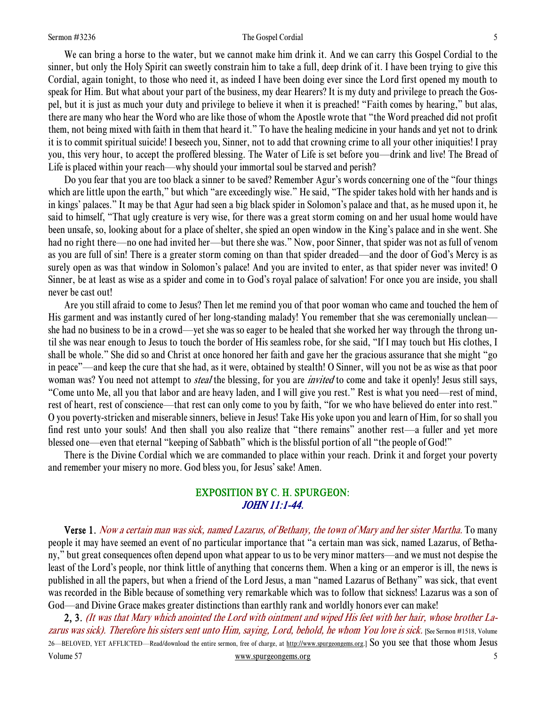#### Sermon #3236 **Sermon #3236** The Gospel Cordial 5

 We can bring a horse to the water, but we cannot make him drink it. And we can carry this Gospel Cordial to the sinner, but only the Holy Spirit can sweetly constrain him to take a full, deep drink of it. I have been trying to give this Cordial, again tonight, to those who need it, as indeed I have been doing ever since the Lord first opened my mouth to speak for Him. But what about your part of the business, my dear Hearers? It is my duty and privilege to preach the Gospel, but it is just as much your duty and privilege to believe it when it is preached! "Faith comes by hearing," but alas, there are many who hear the Word who are like those of whom the Apostle wrote that "the Word preached did not profit them, not being mixed with faith in them that heard it." To have the healing medicine in your hands and yet not to drink it is to commit spiritual suicide! I beseech you, Sinner, not to add that crowning crime to all your other iniquities! I pray you, this very hour, to accept the proffered blessing. The Water of Life is set before you—drink and live! The Bread of Life is placed within your reach—why should your immortal soul be starved and perish?

 Do you fear that you are too black a sinner to be saved? Remember Agur's words concerning one of the "four things which are little upon the earth," but which "are exceedingly wise." He said, "The spider takes hold with her hands and is in kings' palaces." It may be that Agur had seen a big black spider in Solomon's palace and that, as he mused upon it, he said to himself, "That ugly creature is very wise, for there was a great storm coming on and her usual home would have been unsafe, so, looking about for a place of shelter, she spied an open window in the King's palace and in she went. She had no right there—no one had invited her—but there she was." Now, poor Sinner, that spider was not as full of venom as you are full of sin! There is a greater storm coming on than that spider dreaded—and the door of God's Mercy is as surely open as was that window in Solomon's palace! And you are invited to enter, as that spider never was invited! O Sinner, be at least as wise as a spider and come in to God's royal palace of salvation! For once you are inside, you shall never be cast out!

 Are you still afraid to come to Jesus? Then let me remind you of that poor woman who came and touched the hem of His garment and was instantly cured of her long-standing malady! You remember that she was ceremonially unclean she had no business to be in a crowd—yet she was so eager to be healed that she worked her way through the throng until she was near enough to Jesus to touch the border of His seamless robe, for she said, "If I may touch but His clothes, I shall be whole." She did so and Christ at once honored her faith and gave her the gracious assurance that she might "go in peace"—and keep the cure that she had, as it were, obtained by stealth! O Sinner, will you not be as wise as that poor woman was? You need not attempt to *steal* the blessing, for you are *invited* to come and take it openly! Jesus still says, "Come unto Me, all you that labor and are heavy laden, and I will give you rest." Rest is what you need—rest of mind, rest of heart, rest of conscience—that rest can only come to you by faith, "for we who have believed do enter into rest." O you poverty-stricken and miserable sinners, believe in Jesus! Take His yoke upon you and learn of Him, for so shall you find rest unto your souls! And then shall you also realize that "there remains" another rest—a fuller and yet more blessed one—even that eternal "keeping of Sabbath" which is the blissful portion of all "the people of God!"

 There is the Divine Cordial which we are commanded to place within your reach. Drink it and forget your poverty and remember your misery no more. God bless you, for Jesus' sake! Amen.

# EXPOSITION BY C. H. SPURGEON: JOHN 11:1-44.

 Verse 1. Now a certain man was sick, named Lazarus, of Bethany, the town of Mary and her sister Martha. To many people it may have seemed an event of no particular importance that "a certain man was sick, named Lazarus, of Bethany," but great consequences often depend upon what appear to us to be very minor matters—and we must not despise the least of the Lord's people, nor think little of anything that concerns them. When a king or an emperor is ill, the news is published in all the papers, but when a friend of the Lord Jesus, a man "named Lazarus of Bethany" was sick, that event was recorded in the Bible because of something very remarkable which was to follow that sickness! Lazarus was a son of God—and Divine Grace makes greater distinctions than earthly rank and worldly honors ever can make!

Volume 57 www.spurgeongems.org 5 2, 3. (It was that Mary which anointed the Lord with ointment and wiped His feet with her hair, whose brother Lazarus was sick). Therefore his sisters sent unto Him, saying, Lord, behold, he whom You love is sick. [See Sermon #1518, Volume 26—BELOVED, YET AFFLICTED—Read/download the entire sermon, free of charge, at http://www.spurgeongems.org.] So you see that those whom Jesus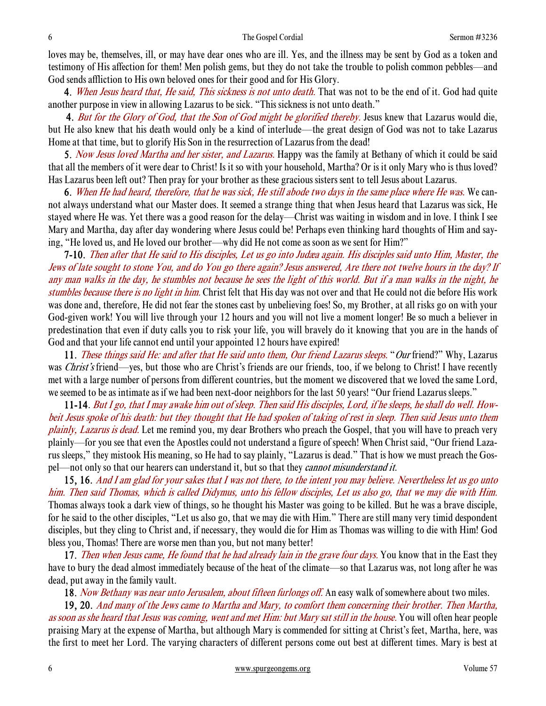loves may be, themselves, ill, or may have dear ones who are ill. Yes, and the illness may be sent by God as a token and testimony of His affection for them! Men polish gems, but they do not take the trouble to polish common pebbles—and God sends affliction to His own beloved ones for their good and for His Glory.

4. When Jesus heard that, He said, This sickness is not unto death. That was not to be the end of it. God had quite another purpose in view in allowing Lazarus to be sick. "This sickness is not unto death."

4. But for the Glory of God, that the Son of God might be glorified thereby. Jesus knew that Lazarus would die, but He also knew that his death would only be a kind of interlude—the great design of God was not to take Lazarus Home at that time, but to glorify His Son in the resurrection of Lazarus from the dead!

5. Now Jesus loved Martha and her sister, and Lazarus. Happy was the family at Bethany of which it could be said that all the members of it were dear to Christ! Is it so with your household, Martha? Or is it only Mary who is thus loved? Has Lazarus been left out? Then pray for your brother as these gracious sisters sent to tell Jesus about Lazarus.

6. When He had heard, therefore, that he was sick, He still abode two days in the same place where He was. We cannot always understand what our Master does. It seemed a strange thing that when Jesus heard that Lazarus was sick, He stayed where He was. Yet there was a good reason for the delay—Christ was waiting in wisdom and in love. I think I see Mary and Martha, day after day wondering where Jesus could be! Perhaps even thinking hard thoughts of Him and saying, "He loved us, and He loved our brother—why did He not come as soon as we sent for Him?"

7-10. Then after that He said to His disciples, Let us go into Judæa again. His disciples said unto Him, Master, the Jews of late sought to stone You, and do You go there again? Jesus answered, Are there not twelve hours in the day? If any man walks in the day, he stumbles not because he sees the light of this world. But if a man walks in the night, he stumbles because there is no light in him. Christ felt that His day was not over and that He could not die before His work was done and, therefore, He did not fear the stones cast by unbelieving foes! So, my Brother, at all risks go on with your God-given work! You will live through your 12 hours and you will not live a moment longer! Be so much a believer in predestination that even if duty calls you to risk your life, you will bravely do it knowing that you are in the hands of God and that your life cannot end until your appointed 12 hours have expired!

11. These things said He: and after that He said unto them, Our friend Lazarus sleeps. "Our friend?" Why, Lazarus was *Christ's* friend—yes, but those who are Christ's friends are our friends, too, if we belong to Christ! I have recently met with a large number of persons from different countries, but the moment we discovered that we loved the same Lord, we seemed to be as intimate as if we had been next-door neighbors for the last 50 years! "Our friend Lazarus sleeps."

 11-14. But I go, that I may awake him out of sleep. Then said His disciples, Lord, if he sleeps, he shall do well. Howbeit Jesus spoke of his death: but they thought that He had spoken of taking of rest in sleep. Then said Jesus unto them plainly, Lazarus is dead. Let me remind you, my dear Brothers who preach the Gospel, that you will have to preach very plainly—for you see that even the Apostles could not understand a figure of speech! When Christ said, "Our friend Lazarus sleeps," they mistook His meaning, so He had to say plainly, "Lazarus is dead." That is how we must preach the Gospel—not only so that our hearers can understand it, but so that they *cannot misunderstand it*.

15, 16. And I am glad for your sakes that I was not there, to the intent you may believe. Nevertheless let us go unto him. Then said Thomas, which is called Didymus, unto his fellow disciples, Let us also go, that we may die with Him. Thomas always took a dark view of things, so he thought his Master was going to be killed. But he was a brave disciple, for he said to the other disciples, "Let us also go, that we may die with Him." There are still many very timid despondent disciples, but they cling to Christ and, if necessary, they would die for Him as Thomas was willing to die with Him! God bless you, Thomas! There are worse men than you, but not many better!

17. Then when Jesus came, He found that he had already lain in the grave four days. You know that in the East they have to bury the dead almost immediately because of the heat of the climate—so that Lazarus was, not long after he was dead, put away in the family vault.

18. Now Bethany was near unto Jerusalem, about fifteen furlongs off. An easy walk of somewhere about two miles.

19, 20. And many of the Jews came to Martha and Mary, to comfort them concerning their brother. Then Martha, as soon as she heard that Jesus was coming, went and met Him: but Mary sat still in the house. You will often hear people praising Mary at the expense of Martha, but although Mary is commended for sitting at Christ's feet, Martha, here, was the first to meet her Lord. The varying characters of different persons come out best at different times. Mary is best at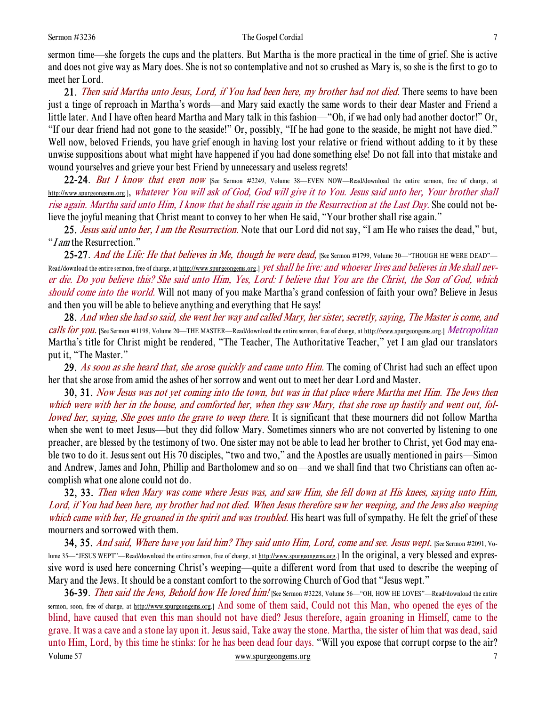sermon time—she forgets the cups and the platters. But Martha is the more practical in the time of grief. She is active and does not give way as Mary does. She is not so contemplative and not so crushed as Mary is, so she is the first to go to meet her Lord.

21. Then said Martha unto Jesus, Lord, if You had been here, my brother had not died. There seems to have been just a tinge of reproach in Martha's words—and Mary said exactly the same words to their dear Master and Friend a little later. And I have often heard Martha and Mary talk in this fashion—"Oh, if we had only had another doctor!" Or, "If our dear friend had not gone to the seaside!" Or, possibly, "If he had gone to the seaside, he might not have died." Well now, beloved Friends, you have grief enough in having lost your relative or friend without adding to it by these unwise suppositions about what might have happened if you had done something else! Do not fall into that mistake and wound yourselves and grieve your best Friend by unnecessary and useless regrets!

22-24. But I know that even now [See Sermon #2249, Volume 38—EVEN NOW—Read/download the entire sermon, free of charge, at http://www.spurgeongems.org.], whatever You will ask of God, God will give it to You. Jesus said unto her, Your brother shall rise again. Martha said unto Him, I know that he shall rise again in the Resurrection at the Last Day. She could not believe the joyful meaning that Christ meant to convey to her when He said, "Your brother shall rise again."

25. Jesus said unto her, I am the Resurrection. Note that our Lord did not say, "I am He who raises the dead," but, "I am the Resurrection."

25-27. And the Life: He that believes in Me, though he were dead, [See Sermon #1799, Volume 30—"THOUGH HE WERE DEAD"— Read/download the entire sermon, free of charge, at http://www.spurgeongems.org.] *yet shall he live: and whoever lives and believes in Me shall nev*er die. Do you believe this? She said unto Him, Yes, Lord: I believe that You are the Christ, the Son of God, which should come into the world. Will not many of you make Martha's grand confession of faith your own? Believe in Jesus and then you will be able to believe anything and everything that He says!

28. And when she had so said, she went her way and called Mary, her sister, secretly, saying, The Master is come, and calls for you. [See Sermon #1198, Volume 20—THE MASTER—Read/download the entire sermon, free of charge, at http://www.spurgeongems.org.] Metropolitan Martha's title for Christ might be rendered, "The Teacher, The Authoritative Teacher," yet I am glad our translators put it, "The Master."

29. As soon as she heard that, she arose quickly and came unto Him. The coming of Christ had such an effect upon her that she arose from amid the ashes of her sorrow and went out to meet her dear Lord and Master.

30, 31. Now Jesus was not yet coming into the town, but was in that place where Martha met Him. The Jews then which were with her in the house, and comforted her, when they saw Mary, that she rose up hastily and went out, followed her, saying, She goes unto the grave to weep there. It is significant that these mourners did not follow Martha when she went to meet Jesus—but they did follow Mary. Sometimes sinners who are not converted by listening to one preacher, are blessed by the testimony of two. One sister may not be able to lead her brother to Christ, yet God may enable two to do it. Jesus sent out His 70 disciples, "two and two," and the Apostles are usually mentioned in pairs—Simon and Andrew, James and John, Phillip and Bartholomew and so on—and we shall find that two Christians can often accomplish what one alone could not do.

32, 33. Then when Mary was come where Jesus was, and saw Him, she fell down at His knees, saying unto Him, Lord, if You had been here, my brother had not died. When Jesus therefore saw her weeping, and the Jews also weeping which came with her, He groaned in the spirit and was troubled. His heart was full of sympathy. He felt the grief of these mourners and sorrowed with them.

**34, 35.** And said, Where have you laid him? They said unto Him, Lord, come and see. Jesus wept. [See Sermon #2091, Volume 35—"JESUS WEPT"—Read/download the entire sermon, free of charge, at http://www.spurgeongems.org.] In the original, a very blessed and expressive word is used here concerning Christ's weeping—quite a different word from that used to describe the weeping of Mary and the Jews. It should be a constant comfort to the sorrowing Church of God that "Jesus wept."

Volume 57 www.spurgeongems.org 7 7 36-39. Then said the Jews, Behold how He loved him! [See Sermon #3228, Volume 56—"OH, HOW HE LOVES"—Read/download the entire sermon, soon, free of charge, at http://www.spurgeongems.org.] And some of them said, Could not this Man, who opened the eyes of the blind, have caused that even this man should not have died? Jesus therefore, again groaning in Himself, came to the grave. It was a cave and a stone lay upon it. Jesus said, Take away the stone. Martha, the sister of him that was dead, said unto Him, Lord, by this time he stinks: for he has been dead four days. "Will you expose that corrupt corpse to the air?